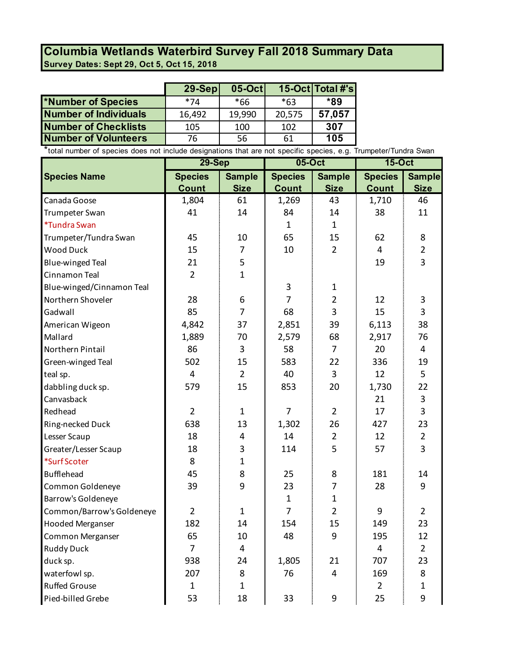## **Survey Dates: Sept 29, Oct 5, Oct 15, 2018 Columbia Wetlands Waterbird Survey Fall 2018 Summary Data**

|                              | $29-Sep$ | $05-Oct$ |           | 15-Oct Total #'s |
|------------------------------|----------|----------|-----------|------------------|
| *Number of Species           | *74      | *66      | $*63$     | *89              |
| <b>Number of Individuals</b> | 16,492   | 19,990   | 20,575    | 57,057           |
| <b>Number of Checklists</b>  | 105      | 100      | 102       | 307              |
| <b>Number of Volunteers</b>  | 76       | 56       | 61        | 105              |
|                              | .<br>.   | .        | $\cdot$ . |                  |

\*total number of species does not include designations that are not specific species, e.g. Trumpeter/Tundra Swan

|                           | 29-Sep         |                | 05-Oct         |                | <b>15-Oct</b>  |                |
|---------------------------|----------------|----------------|----------------|----------------|----------------|----------------|
| <b>Species Name</b>       | <b>Species</b> | <b>Sample</b>  | <b>Species</b> | <b>Sample</b>  | <b>Species</b> | <b>Sample</b>  |
|                           | <b>Count</b>   | <b>Size</b>    | <b>Count</b>   | <b>Size</b>    | <b>Count</b>   | <b>Size</b>    |
| Canada Goose              | 1,804          | 61             | 1,269          | 43             | 1,710          | 46             |
| Trumpeter Swan            | 41             | 14             | 84             | 14             | 38             | 11             |
| *Tundra Swan              |                |                | $\mathbf{1}$   | $\mathbf{1}$   |                |                |
| Trumpeter/Tundra Swan     | 45             | 10             | 65             | 15             | 62             | 8              |
| <b>Wood Duck</b>          | 15             | $\overline{7}$ | 10             | $\overline{2}$ | 4              | $\overline{2}$ |
| <b>Blue-winged Teal</b>   | 21             | 5              |                |                | 19             | $\overline{3}$ |
| Cinnamon Teal             | $\overline{2}$ | $\mathbf{1}$   |                |                |                |                |
| Blue-winged/Cinnamon Teal |                |                | 3              | $\mathbf{1}$   |                |                |
| Northern Shoveler         | 28             | 6              | $\overline{7}$ | $\overline{2}$ | 12             | 3              |
| Gadwall                   | 85             | 7              | 68             | 3              | 15             | 3              |
| American Wigeon           | 4,842          | 37             | 2,851          | 39             | 6,113          | 38             |
| Mallard                   | 1,889          | 70             | 2,579          | 68             | 2,917          | 76             |
| Northern Pintail          | 86             | 3              | 58             | $\overline{7}$ | 20             | 4              |
| Green-winged Teal         | 502            | 15             | 583            | 22             | 336            | 19             |
| teal sp.                  | 4              | $\overline{2}$ | 40             | 3              | 12             | 5              |
| dabbling duck sp.         | 579            | 15             | 853            | 20             | 1,730          | 22             |
| Canvasback                |                |                |                |                | 21             | 3              |
| Redhead                   | $\overline{2}$ | $\mathbf{1}$   | $\overline{7}$ | $\overline{2}$ | 17             | 3              |
| Ring-necked Duck          | 638            | 13             | 1,302          | 26             | 427            | 23             |
| Lesser Scaup              | 18             | 4              | 14             | $\overline{2}$ | 12             | $\overline{2}$ |
| Greater/Lesser Scaup      | 18             | 3              | 114            | 5              | 57             | $\overline{3}$ |
| *Surf Scoter              | 8              | $\mathbf{1}$   |                |                |                |                |
| <b>Bufflehead</b>         | 45             | 8              | 25             | 8              | 181            | 14             |
| Common Goldeneye          | 39             | 9              | 23             | 7              | 28             | 9              |
| Barrow's Goldeneye        |                |                | $\mathbf{1}$   | $\mathbf 1$    |                |                |
| Common/Barrow's Goldeneye | $\overline{2}$ | $\mathbf{1}$   | $\overline{7}$ | $\overline{2}$ | 9              | $\overline{2}$ |
| <b>Hooded Merganser</b>   | 182            | 14             | 154            | 15             | 149            | 23             |
| Common Merganser          | 65             | 10             | 48             | 9              | 195            | 12             |
| <b>Ruddy Duck</b>         | 7              | 4              |                |                | $\overline{4}$ | $\overline{2}$ |
| duck sp.                  | 938            | 24             | 1,805          | 21             | 707            | 23             |
| waterfowl sp.             | 207            | 8              | 76             | 4              | 169            | 8              |
| <b>Ruffed Grouse</b>      | $\mathbf{1}$   | $\mathbf 1$    |                |                | $\overline{2}$ | $\mathbf 1$    |
| Pied-billed Grebe         | 53             | 18             | 33             | 9              | 25             | 9              |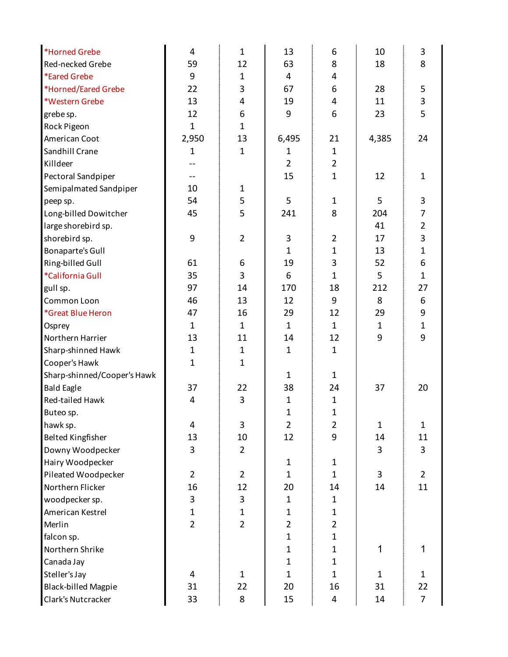| Red-necked Grebe<br>59<br>12<br>63<br>8<br>18<br>8<br><i><b>*Eared Grebe</b></i><br>9<br>4<br>$\mathbf{1}$<br>4<br>*Horned/Eared Grebe<br>22<br>3<br>6<br>28<br>5<br>67<br>3<br>13<br>*Western Grebe<br>4<br>19<br>4<br>11<br>12<br>6<br>9<br>6<br>23<br>5<br>grebe sp.<br>$\mathbf{1}$<br>Rock Pigeon<br>$\mathbf{1}$<br>2,950<br>13<br>6,495<br>4,385<br>American Coot<br>21<br>24<br>Sandhill Crane<br>1<br>$\mathbf{1}$<br>$\mathbf{1}$<br>1<br>$\overline{2}$<br>$\overline{2}$<br>Killdeer<br>$\mathbf{1}$<br>Pectoral Sandpiper<br>15<br>12<br>$\mathbf{1}$<br>--<br>Semipalmated Sandpiper<br>10<br>$\mathbf{1}$ |
|--------------------------------------------------------------------------------------------------------------------------------------------------------------------------------------------------------------------------------------------------------------------------------------------------------------------------------------------------------------------------------------------------------------------------------------------------------------------------------------------------------------------------------------------------------------------------------------------------------------------------|
|                                                                                                                                                                                                                                                                                                                                                                                                                                                                                                                                                                                                                          |
|                                                                                                                                                                                                                                                                                                                                                                                                                                                                                                                                                                                                                          |
|                                                                                                                                                                                                                                                                                                                                                                                                                                                                                                                                                                                                                          |
|                                                                                                                                                                                                                                                                                                                                                                                                                                                                                                                                                                                                                          |
|                                                                                                                                                                                                                                                                                                                                                                                                                                                                                                                                                                                                                          |
|                                                                                                                                                                                                                                                                                                                                                                                                                                                                                                                                                                                                                          |
|                                                                                                                                                                                                                                                                                                                                                                                                                                                                                                                                                                                                                          |
|                                                                                                                                                                                                                                                                                                                                                                                                                                                                                                                                                                                                                          |
|                                                                                                                                                                                                                                                                                                                                                                                                                                                                                                                                                                                                                          |
|                                                                                                                                                                                                                                                                                                                                                                                                                                                                                                                                                                                                                          |
|                                                                                                                                                                                                                                                                                                                                                                                                                                                                                                                                                                                                                          |
| 54<br>5<br>5<br>5<br>3<br>1<br>peep sp.                                                                                                                                                                                                                                                                                                                                                                                                                                                                                                                                                                                  |
| 8<br>45<br>5<br>204<br>Long-billed Dowitcher<br>241<br>7                                                                                                                                                                                                                                                                                                                                                                                                                                                                                                                                                                 |
| $\overline{2}$<br>41<br>large shorebird sp.                                                                                                                                                                                                                                                                                                                                                                                                                                                                                                                                                                              |
| 9<br>3<br>$\overline{2}$<br>3<br>$\overline{2}$<br>shorebird sp.<br>17                                                                                                                                                                                                                                                                                                                                                                                                                                                                                                                                                   |
| $\mathbf{1}$<br>$\mathbf{1}$<br><b>Bonaparte's Gull</b><br>13<br>1                                                                                                                                                                                                                                                                                                                                                                                                                                                                                                                                                       |
| 3<br>6<br>61<br>19<br>52<br>Ring-billed Gull<br>6                                                                                                                                                                                                                                                                                                                                                                                                                                                                                                                                                                        |
| *California Gull<br>35<br>3<br>$\mathbf{1}$<br>5<br>$\mathbf{1}$<br>6                                                                                                                                                                                                                                                                                                                                                                                                                                                                                                                                                    |
| 97<br>212<br>14<br>170<br>18<br>27<br>gull sp.                                                                                                                                                                                                                                                                                                                                                                                                                                                                                                                                                                           |
| 46<br>9<br>Common Loon<br>13<br>12<br>8<br>6                                                                                                                                                                                                                                                                                                                                                                                                                                                                                                                                                                             |
| 9<br>16<br>29<br>29<br>*Great Blue Heron<br>47<br>12                                                                                                                                                                                                                                                                                                                                                                                                                                                                                                                                                                     |
| $\mathbf{1}$<br>$\mathbf{1}$<br>$\mathbf{1}$<br>$\mathbf{1}$<br>$\mathbf{1}$<br>$\mathbf{1}$<br>Osprey                                                                                                                                                                                                                                                                                                                                                                                                                                                                                                                   |
| 9<br>9<br>13<br>11<br>12<br>Northern Harrier<br>14                                                                                                                                                                                                                                                                                                                                                                                                                                                                                                                                                                       |
| Sharp-shinned Hawk<br>$\mathbf{1}$<br>$\mathbf{1}$<br>$\mathbf{1}$<br>1                                                                                                                                                                                                                                                                                                                                                                                                                                                                                                                                                  |
| $\mathbf{1}$<br>$\mathbf{1}$<br>Cooper's Hawk                                                                                                                                                                                                                                                                                                                                                                                                                                                                                                                                                                            |
| Sharp-shinned/Cooper's Hawk<br>$\mathbf 1$<br>$\mathbf{1}$                                                                                                                                                                                                                                                                                                                                                                                                                                                                                                                                                               |
| 37<br>38<br><b>Bald Eagle</b><br>22<br>37<br>20<br>24                                                                                                                                                                                                                                                                                                                                                                                                                                                                                                                                                                    |
| 3<br>Red-tailed Hawk<br>4<br>$\mathbf{1}$<br>$\mathbf{1}$                                                                                                                                                                                                                                                                                                                                                                                                                                                                                                                                                                |
| $\mathbf{1}$<br>$\mathbf{1}$<br>Buteo sp.                                                                                                                                                                                                                                                                                                                                                                                                                                                                                                                                                                                |
| hawk sp.<br>3<br>$\overline{2}$<br>$\overline{2}$<br>$\mathbf{1}$<br>4<br>$\mathbf{1}$                                                                                                                                                                                                                                                                                                                                                                                                                                                                                                                                   |
| 9<br><b>Belted Kingfisher</b><br>13<br>10<br>12<br>14<br>11                                                                                                                                                                                                                                                                                                                                                                                                                                                                                                                                                              |
| Downy Woodpecker<br>3<br>$\overline{2}$<br>3<br>3                                                                                                                                                                                                                                                                                                                                                                                                                                                                                                                                                                        |
| Hairy Woodpecker<br>$\mathbf 1$<br>$\mathbf{1}$                                                                                                                                                                                                                                                                                                                                                                                                                                                                                                                                                                          |
| Pileated Woodpecker<br>$\overline{2}$<br>$\overline{2}$<br>$\mathbf{1}$<br>3<br>$\overline{2}$<br>$\mathbf{1}$                                                                                                                                                                                                                                                                                                                                                                                                                                                                                                           |
| 16<br>11<br>Northern Flicker<br>12<br>20<br>14<br>14                                                                                                                                                                                                                                                                                                                                                                                                                                                                                                                                                                     |
| woodpecker sp.<br>3<br>3<br>$\mathbf{1}$<br>$\mathbf{1}$                                                                                                                                                                                                                                                                                                                                                                                                                                                                                                                                                                 |
| American Kestrel<br>1<br>$\mathbf{1}$<br>$\mathbf{1}$<br>1                                                                                                                                                                                                                                                                                                                                                                                                                                                                                                                                                               |
| $\overline{2}$<br>$\overline{2}$<br>$\overline{2}$<br>Merlin<br>$\overline{2}$                                                                                                                                                                                                                                                                                                                                                                                                                                                                                                                                           |
| $\mathbf{1}$<br>$\mathbf{1}$<br>falcon sp.                                                                                                                                                                                                                                                                                                                                                                                                                                                                                                                                                                               |
| 1<br>Northern Shrike<br>$\mathbf{1}$<br>1<br>1                                                                                                                                                                                                                                                                                                                                                                                                                                                                                                                                                                           |
| $\mathbf{1}$<br>Canada Jay<br>$\mathbf 1$                                                                                                                                                                                                                                                                                                                                                                                                                                                                                                                                                                                |
| Steller's Jay<br>4<br>$\mathbf{1}$<br>$\mathbf{1}$<br>1<br>$\mathbf{1}$<br>1                                                                                                                                                                                                                                                                                                                                                                                                                                                                                                                                             |
| <b>Black-billed Magpie</b><br>31<br>22<br>20<br>16<br>31<br>22                                                                                                                                                                                                                                                                                                                                                                                                                                                                                                                                                           |
| Clark's Nutcracker<br>33<br>15<br>$\overline{7}$<br>8<br>4<br>14                                                                                                                                                                                                                                                                                                                                                                                                                                                                                                                                                         |